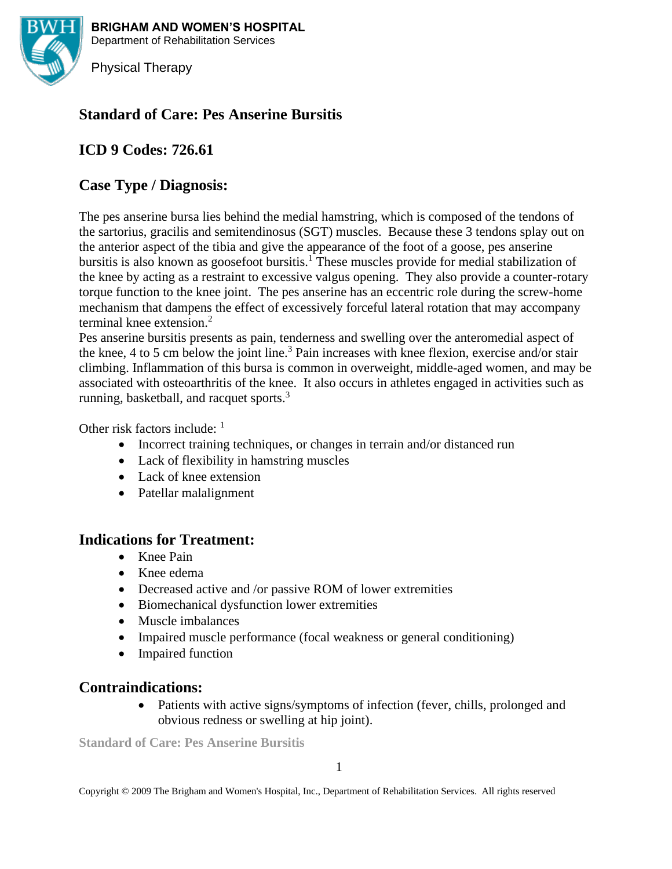

**BRIGHAM AND WOMEN'S HOSPITAL** Department of Rehabilitation Services

Physical Therapy

# **Standard of Care: Pes Anserine Bursitis**

# **ICD 9 Codes: 726.61**

# **Case Type / Diagnosis:**

The pes anserine bursa lies behind the medial hamstring, which is composed of the tendons of the sartorius, gracilis and semitendinosus (SGT) muscles. Because these 3 tendons splay out on the anterior aspect of the tibia and give the appearance of the foot of a goose, pes anserine bursitis is also known as goosefoot bursitis.<sup>1</sup> These muscles provide for medial stabilization of the knee by acting as a restraint to excessive valgus opening. They also provide a counter-rotary torque function to the knee joint. The pes anserine has an eccentric role during the screw-home mechanism that dampens the effect of excessively forceful lateral rotation that may accompany terminal knee extension.<sup>2</sup>

Pes anserine bursitis presents as pain, tenderness and swelling over the anteromedial aspect of the knee, 4 to 5 cm below the joint line.<sup>3</sup> Pain increases with knee flexion, exercise and/or stair climbing. Inflammation of this bursa is common in overweight, middle-aged women, and may be associated with osteoarthritis of the knee. It also occurs in athletes engaged in activities such as running, basketball, and racquet sports.<sup>3</sup>

Other risk factors include: <sup>1</sup>

- Incorrect training techniques, or changes in terrain and/or distanced run
- Lack of flexibility in hamstring muscles
- Lack of knee extension
- Patellar malalignment

## **Indications for Treatment:**

- Knee Pain
- Knee edema
- Decreased active and /or passive ROM of lower extremities
- Biomechanical dysfunction lower extremities
- Muscle imbalances
- Impaired muscle performance (focal weakness or general conditioning)
- Impaired function

## **Contraindications:**

• Patients with active signs/symptoms of infection (fever, chills, prolonged and obvious redness or swelling at hip joint).

**Standard of Care: Pes Anserine Bursitis**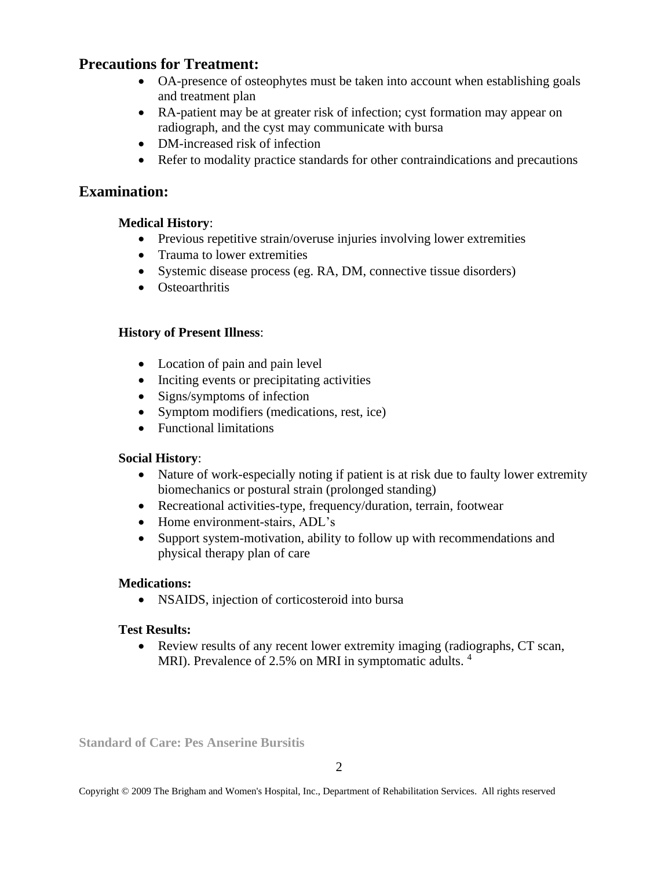# **Precautions for Treatment:**

- OA-presence of osteophytes must be taken into account when establishing goals and treatment plan
- RA-patient may be at greater risk of infection; cyst formation may appear on radiograph, and the cyst may communicate with bursa
- DM-increased risk of infection
- Refer to modality practice standards for other contraindications and precautions

# **Examination:**

## **Medical History**:

- Previous repetitive strain/overuse injuries involving lower extremities
- Trauma to lower extremities
- Systemic disease process (eg. RA, DM, connective tissue disorders)
- Osteoarthritis

## **History of Present Illness**:

- Location of pain and pain level
- Inciting events or precipitating activities
- Signs/symptoms of infection
- Symptom modifiers (medications, rest, ice)
- Functional limitations

## **Social History**:

- Nature of work-especially noting if patient is at risk due to faulty lower extremity biomechanics or postural strain (prolonged standing)
- Recreational activities-type, frequency/duration, terrain, footwear
- Home environment-stairs, ADL's
- Support system-motivation, ability to follow up with recommendations and physical therapy plan of care

## **Medications:**

• NSAIDS, injection of corticosteroid into bursa

## **Test Results:**

• Review results of any recent lower extremity imaging (radiographs, CT scan, MRI). Prevalence of 2.5% on MRI in symptomatic adults.<sup>4</sup>

**Standard of Care: Pes Anserine Bursitis**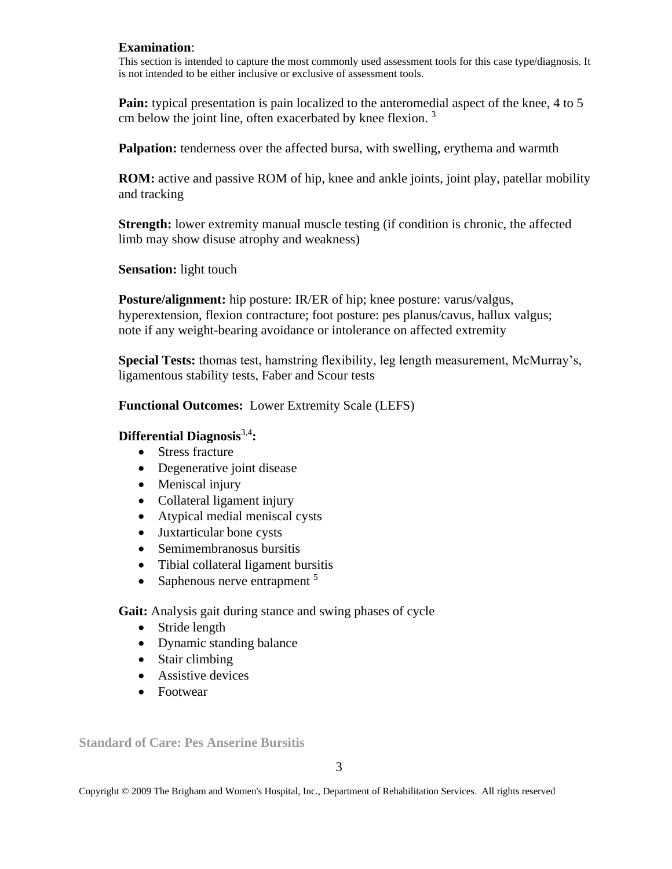#### **Examination**:

This section is intended to capture the most commonly used assessment tools for this case type/diagnosis. It is not intended to be either inclusive or exclusive of assessment tools.

**Pain:** typical presentation is pain localized to the anteromedial aspect of the knee, 4 to 5 cm below the joint line, often exacerbated by knee flexion.  $3$ 

**Palpation:** tenderness over the affected bursa, with swelling, erythema and warmth

**ROM:** active and passive ROM of hip, knee and ankle joints, joint play, patellar mobility and tracking

**Strength:** lower extremity manual muscle testing (if condition is chronic, the affected limb may show disuse atrophy and weakness)

**Sensation:** light touch

**Posture/alignment:** hip posture: IR/ER of hip; knee posture: varus/valgus, hyperextension, flexion contracture; foot posture: pes planus/cavus, hallux valgus; note if any weight-bearing avoidance or intolerance on affected extremity

**Special Tests:** thomas test, hamstring flexibility, leg length measurement, McMurray's, ligamentous stability tests, Faber and Scour tests

**Functional Outcomes:** Lower Extremity Scale (LEFS)

#### **Differential Diagnosis**3,4**:**

- Stress fracture
- Degenerative joint disease
- Meniscal injury
- Collateral ligament injury
- Atypical medial meniscal cysts
- Juxtarticular bone cysts
- Semimembranosus bursitis
- Tibial collateral ligament bursitis
- Saphenous nerve entrapment  $5$

**Gait:** Analysis gait during stance and swing phases of cycle

- Stride length
- Dynamic standing balance
- Stair climbing
- Assistive devices
- Footwear

**Standard of Care: Pes Anserine Bursitis**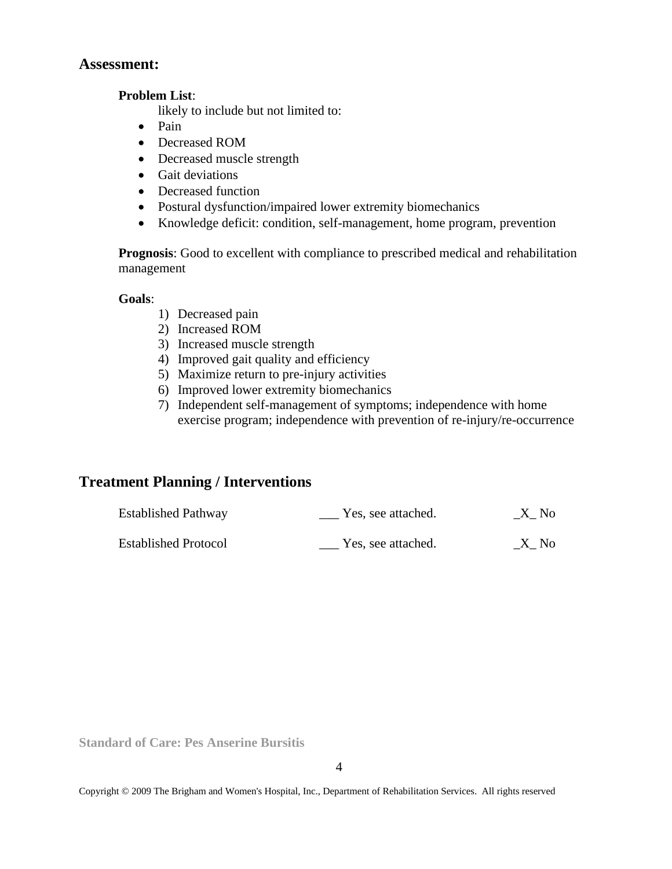### **Assessment:**

#### **Problem List**:

likely to include but not limited to:

- Pain
- Decreased ROM
- Decreased muscle strength
- Gait deviations
- Decreased function
- Postural dysfunction/impaired lower extremity biomechanics
- Knowledge deficit: condition, self-management, home program, prevention

**Prognosis**: Good to excellent with compliance to prescribed medical and rehabilitation management

#### **Goals**:

- 1) Decreased pain
- 2) Increased ROM
- 3) Increased muscle strength
- 4) Improved gait quality and efficiency
- 5) Maximize return to pre-injury activities
- 6) Improved lower extremity biomechanics
- 7) Independent self-management of symptoms; independence with home exercise program; independence with prevention of re-injury/re-occurrence

# **Treatment Planning / Interventions**

| <b>Established Pathway</b>  | Yes, see attached. | X No |
|-----------------------------|--------------------|------|
| <b>Established Protocol</b> | Yes, see attached. | X No |

**Standard of Care: Pes Anserine Bursitis**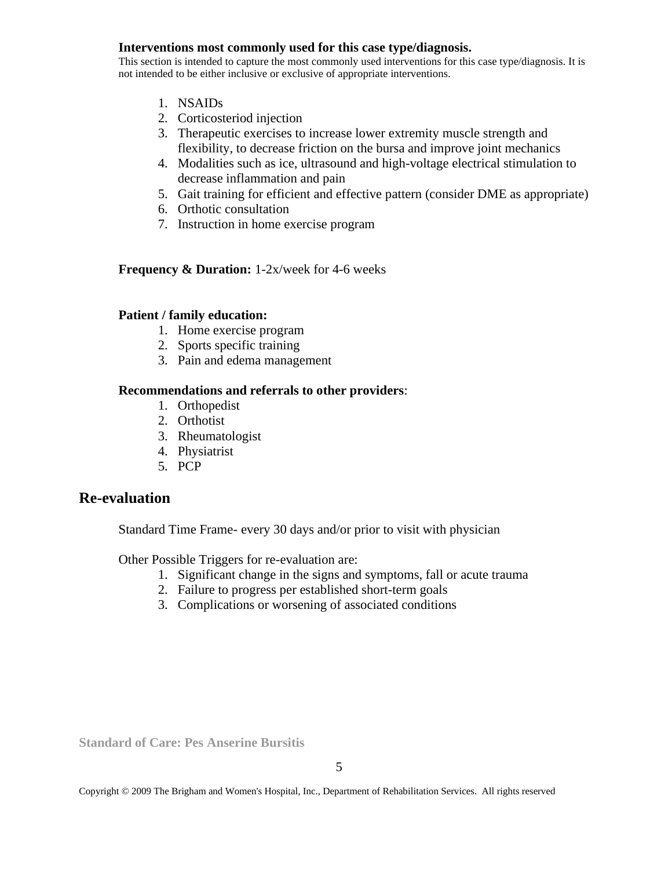#### **Interventions most commonly used for this case type/diagnosis.**

This section is intended to capture the most commonly used interventions for this case type/diagnosis. It is not intended to be either inclusive or exclusive of appropriate interventions.

- 1. NSAIDs
- 2. Corticosteriod injection
- 3. Therapeutic exercises to increase lower extremity muscle strength and flexibility, to decrease friction on the bursa and improve joint mechanics
- 4. Modalities such as ice, ultrasound and high-voltage electrical stimulation to decrease inflammation and pain
- 5. Gait training for efficient and effective pattern (consider DME as appropriate)
- 6. Orthotic consultation
- 7. Instruction in home exercise program

#### **Frequency & Duration:** 1-2x/week for 4-6 weeks

#### **Patient / family education:**

- 1. Home exercise program
- 2. Sports specific training
- 3. Pain and edema management

#### **Recommendations and referrals to other providers**:

- 1. Orthopedist
- 2. Orthotist
- 3. Rheumatologist
- 4. Physiatrist
- 5. PCP

## **Re-evaluation**

Standard Time Frame- every 30 days and/or prior to visit with physician

Other Possible Triggers for re-evaluation are:

- 1. Significant change in the signs and symptoms, fall or acute trauma
- 2. Failure to progress per established short-term goals
- 3. Complications or worsening of associated conditions

**Standard of Care: Pes Anserine Bursitis**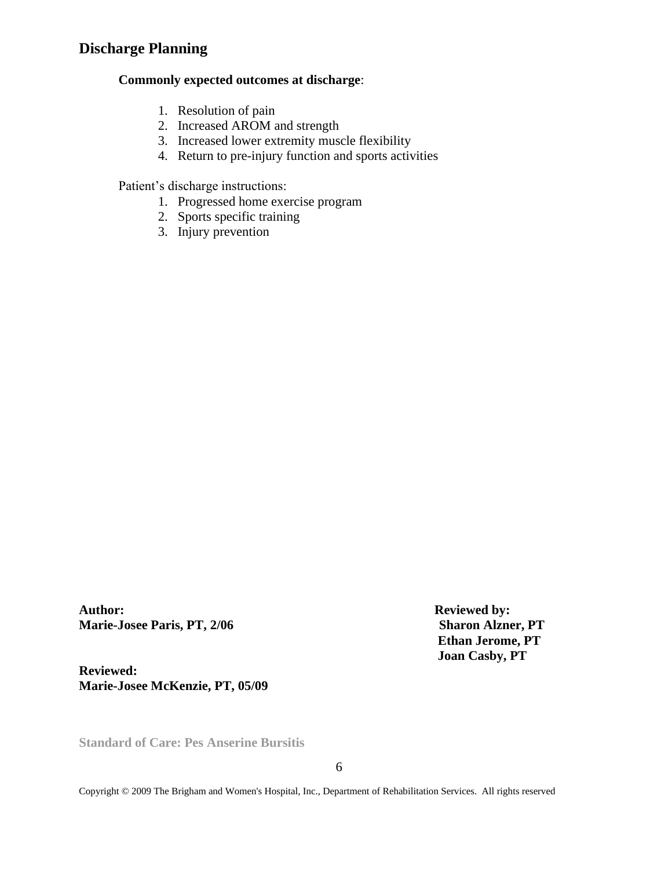# **Discharge Planning**

#### **Commonly expected outcomes at discharge**:

- 1. Resolution of pain
- 2. Increased AROM and strength
- 3. Increased lower extremity muscle flexibility
- 4. Return to pre-injury function and sports activities

Patient's discharge instructions:

- 1. Progressed home exercise program
- 2. Sports specific training
- 3. Injury prevention

**Author: Reviewed by: Marie-Josee Paris, PT, 2/06 Sharon Alzner, PT** 

**Reviewed: Marie-Josee McKenzie, PT, 05/09**  **Ethan Jerome, PT Joan Casby, PT**

**Standard of Care: Pes Anserine Bursitis**